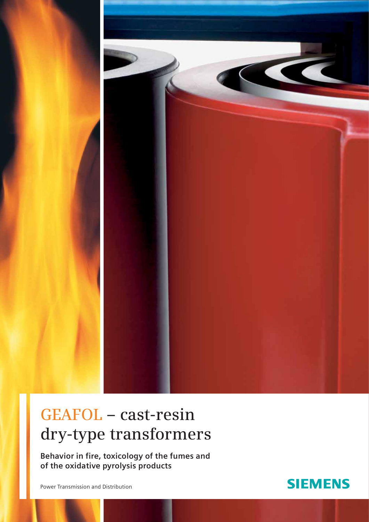

# **GEAFOL – cast-resin dry-type transformers**

**Behavior in fire, toxicology of the fumes and of the oxidative pyrolysis products** 

Power Transmission and Distribution

## **SIEMENS**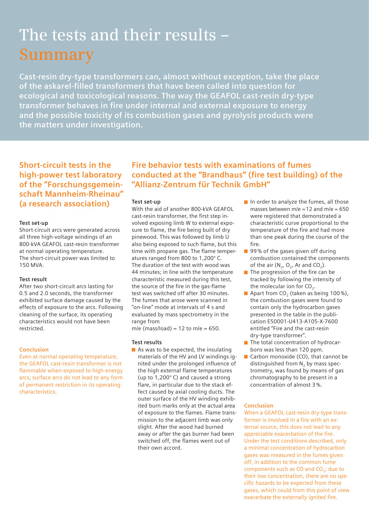# **The tests and their results – Summary**

**Cast-resin dry-type transformers can, almost without exception, take the place of the askarel-filled transformers that have been called into question for ecological and toxicological reasons. The way the GEAFOL cast-resin dry-type transformer behaves in fire under internal and external exposure to energy and the possible toxicity of its combustion gases and pyrolysis products were the matters under investigation.**

**Short-circuit tests in the high-power test laboratory of the "Forschungsgemeinschaft Mannheim-Rheinau" (a research association)**

#### **Test set-up**

Short-circuit arcs were generated across all three high-voltage windings of an 800-kVA GEAFOL cast-resin transformer at normal operating temperature. The short-circuit power was limited to 150 MVA.

#### **Test result**

After two short-circuit arcs lasting for 0.5 and 2.0 seconds, the transformer exhibited surface damage caused by the effects of exposure to the arcs. Following cleaning of the surface, its operating characteristics would not have been restricted.

#### **Conclusion**

Even at normal operating temperature, the GEAFOL cast-resin transformer is not flammable when exposed to high-energy arcs; surface arcs do not lead to any form of permanent restriction in its operating characteristics.

### **Fire behavior tests with examinations of fumes conducted at the "Brandhaus" (fire test building) of the "Allianz-Zentrum für Technik GmbH"**

#### **Test set-up**

With the aid of another 800-kVA GEAFOL cast-resin transformer, the first step involved exposing limb W to external exposure to flame, the fire being built of dry pinewood. This was followed by limb U also being exposed to such flame, but this time with propane gas. The flame temperatures ranged from 800 to 1,200° C. The duration of the test with wood was 44 minutes; in line with the temperature characteristic measured during this test, the source of the fire in the gas-flame test was switched off after 30 minutes. The fumes that arose were scanned in "on-line" mode at intervals of 4 s and evaluated by mass spectrometry in the range from

m/e (mass/load) = 12 to m/e =  $650$ .

#### **Test results**

As was to be expected, the insulating materials of the HV and LV windings ignited under the prolonged influence of the high external flame temperatures (up to 1,200° C) and caused a strong flare, in particular due to the stack effect caused by axial cooling ducts. The outer surface of the HV winding exhibited burn marks only at the actual area of exposure to the flames. Flame transmission to the adjacent limb was only slight. After the wood had burned away or after the gas burner had been switched off, the flames went out of their own accord.

- In order to analyze the fumes, all those masses between m/e =  $12$  and m/e =  $650$ were registered that demonstrated a characteristic curve proportional to the temperature of the fire and had more than one peak during the course of the fire.
- 99 % of the gases given off during combustion contained the components of the air  $(N_2, O_2, Ar$  and  $CO_2$ ).
- $\blacksquare$  The progression of the fire can be tracked by following the intensity of the molecular ion for  $CO<sub>2</sub>$ .
- Apart from CO<sub>2</sub> (taken as being 100%), the combustion gases were found to contain only the hydrocarbon gases presented in the table in the publication E50001-U413-A105-X-7600 entitled "Fire and the cast-resin dry-type transformer".
- $\blacksquare$  The total concentration of hydrocarbons was less than 120 ppm.
- Carbon monoxide (CO), that cannot be distinguished from  $N<sub>2</sub>$  by mass spectrometry, was found by means of gas chromatography to be present in a concentration of almost 3 %.

#### **Conclusion**

When a GEAFOL cast-resin dry-type transformer is involved in a fire with an external source, this does not lead to any appreciable exacerbation of the fire. Under the test conditions described, only a minimal concentration of hydrocarbon gases was measured in the fumes given off, in addition to the common fume components such as  $CO$  and  $CO<sub>2</sub>$ ; due to their low concentration, there are no specific hazards to be expected from these gases, which could from this point of view exacerbate the externally ignited fire.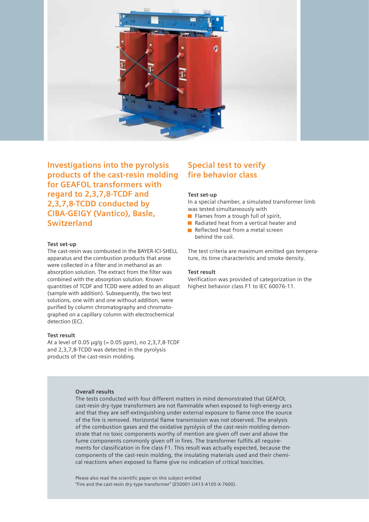

**Investigations into the pyrolysis products of the cast-resin molding for GEAFOL transformers with regard to 2,3,7,8-TCDF and 2,3,7,8-TCDD conducted by CIBA-GEIGY (Vantico), Basle, Switzerland**

#### **Test set-up**

The cast-resin was combusted in the BAYER-ICI-SHELL apparatus and the combustion products that arose were collected in a filter and in methanol as an absorption solution. The extract from the filter was combined with the absorption solution. Known quantities of TCDF and TCDD were added to an aliquot (sample with addition). Subsequently, the two test solutions, one with and one without addition, were purified by column chromatography and chromatographed on a capillary column with electrochemical detection (EC).

#### **Test result**

At a level of 0.05  $\mu$ g/g (= 0.05 ppm), no 2,3,7,8-TCDF and 2,3,7,8-TCDD was detected in the pyrolysis products of the cast-resin molding.

### **Special test to verify fire behavior class**

#### **Test set-up**

In a special chamber, a simulated transformer limb was tested simultaneously with

- $\blacksquare$  Flames from a trough full of spirit.
- Radiated heat from a vertical heater and
- Reflected heat from a metal screen behind the coil.

The test criteria are maximum emitted gas temperature, its time characteristic and smoke density.

#### **Test result**

Verification was provided of categorization in the highest behavior class F1 to IEC 60076-11.

#### **Overall results**

The tests conducted with four different matters in mind demonstrated that GEAFOL cast-resin dry-type transformers are not flammable when exposed to high-energy arcs and that they are self-extinguishing under external exposure to flame once the source of the fire is removed. Horizontal flame transmission was not observed. The analysis of the combustion gases and the oxidative pyrolysis of the cast-resin molding demonstrate that no toxic components worthy of mention are given off over and above the fume components commonly given off in fires. The transformer fulfills all requirements for classification in fire class F1. This result was actually expected, because the components of the cast-resin molding, the insulating materials used and their chemical reactions when exposed to flame give no indication of critical toxicities.

Please also read the scientific paper on this subject entitled "Fire and the cast-resin dry-type transformer" (E50001-U413-A105-X-7600).